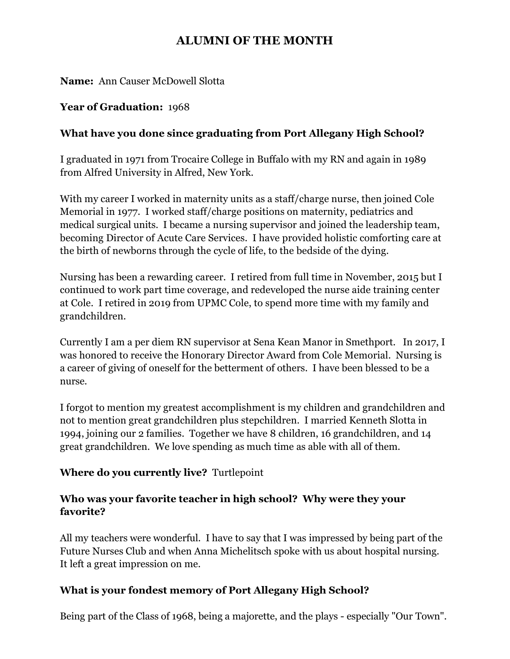# **ALUMNI OF THE MONTH**

**Name:** Ann Causer McDowell Slotta

#### **Year of Graduation:** 1968

### **What have you done since graduating from Port Allegany High School?**

I graduated in 1971 from Trocaire College in Buffalo with my RN and again in 1989 from Alfred University in Alfred, New York.

With my career I worked in maternity units as a staff/charge nurse, then joined Cole Memorial in 1977. I worked staff/charge positions on maternity, pediatrics and medical surgical units. I became a nursing supervisor and joined the leadership team, becoming Director of Acute Care Services. I have provided holistic comforting care at the birth of newborns through the cycle of life, to the bedside of the dying.

Nursing has been a rewarding career. I retired from full time in November, 2015 but I continued to work part time coverage, and redeveloped the nurse aide training center at Cole. I retired in 2019 from UPMC Cole, to spend more time with my family and grandchildren.

Currently I am a per diem RN supervisor at Sena Kean Manor in Smethport. In 2017, I was honored to receive the Honorary Director Award from Cole Memorial. Nursing is a career of giving of oneself for the betterment of others. I have been blessed to be a nurse.

I forgot to mention my greatest accomplishment is my children and grandchildren and not to mention great grandchildren plus stepchildren. I married Kenneth Slotta in 1994, joining our 2 families. Together we have 8 children, 16 grandchildren, and 14 great grandchildren. We love spending as much time as able with all of them.

#### **Where do you currently live?** Turtlepoint

## **Who was your favorite teacher in high school? Why were they your favorite?**

All my teachers were wonderful. I have to say that I was impressed by being part of the Future Nurses Club and when Anna Michelitsch spoke with us about hospital nursing. It left a great impression on me.

#### **What is your fondest memory of Port Allegany High School?**

Being part of the Class of 1968, being a majorette, and the plays - especially "Our Town".